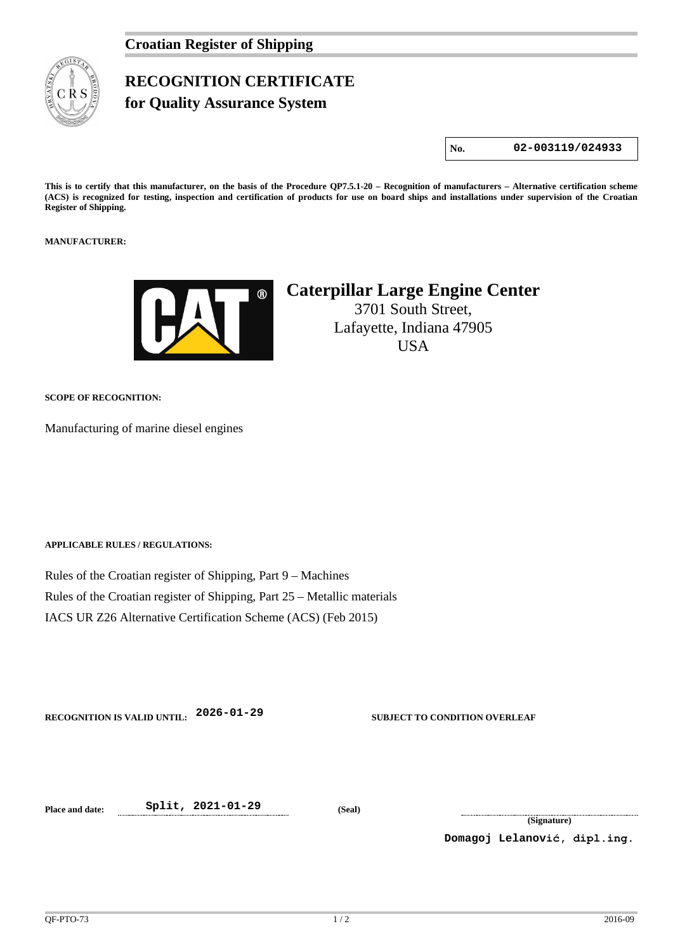## **RECOGNITION CERTIFICATE for Quality Assurance System**

**No. 02-003119/024933**

**This is to certify that this manufacturer, on the basis of the Procedure QP7.5.1-20 – Recognition of manufacturers – Alternative certification scheme (ACS) is recognized for testing, inspection and certification of products for use on board ships and installations under supervision of the Croatian Register of Shipping.**

**MANUFACTURER:**



## **Caterpillar Large Engine Center**

3701 South Street, Lafayette, Indiana 47905 USA

**SCOPE OF RECOGNITION:**

Manufacturing of marine diesel engines

**APPLICABLE RULES / REGULATIONS:**

Rules of the Croatian register of Shipping, Part 9 – Machines Rules of the Croatian register of Shipping, Part 25 – Metallic materials IACS UR Z26 Alternative Certification Scheme (ACS) (Feb 2015)

**RECOGNITION IS VALID UNTIL: 2026-01-29 SUBJECT TO CONDITION OVERLEAF**

**Place and date: Split, 2021-01-29 (Seal)**

**(Signature)**

**Domagoj Lelanović, dipl.ing.**